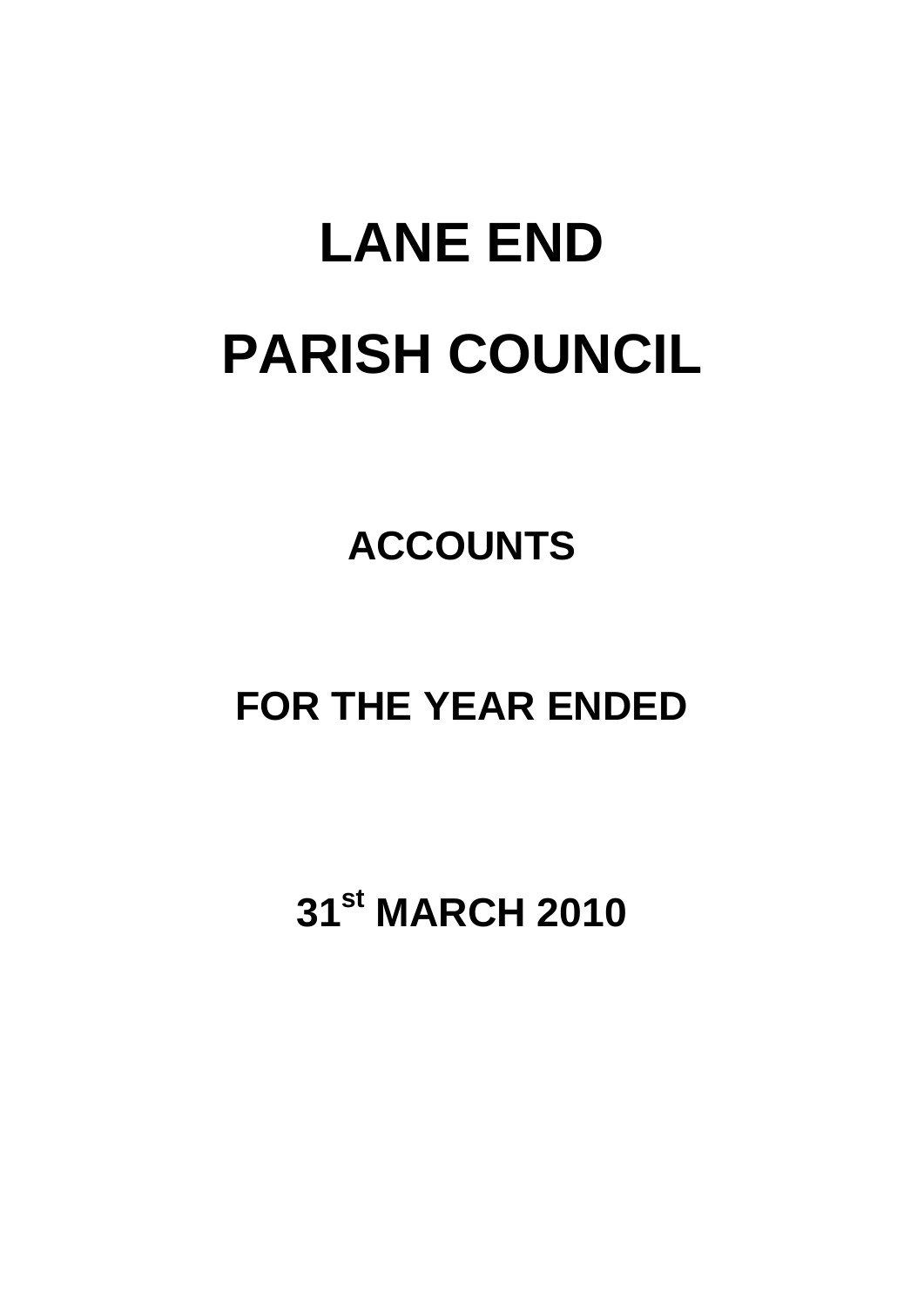# **LANE END PARISH COUNCIL**

# **ACCOUNTS**

## **FOR THE YEAR ENDED**

# **31st MARCH 2010**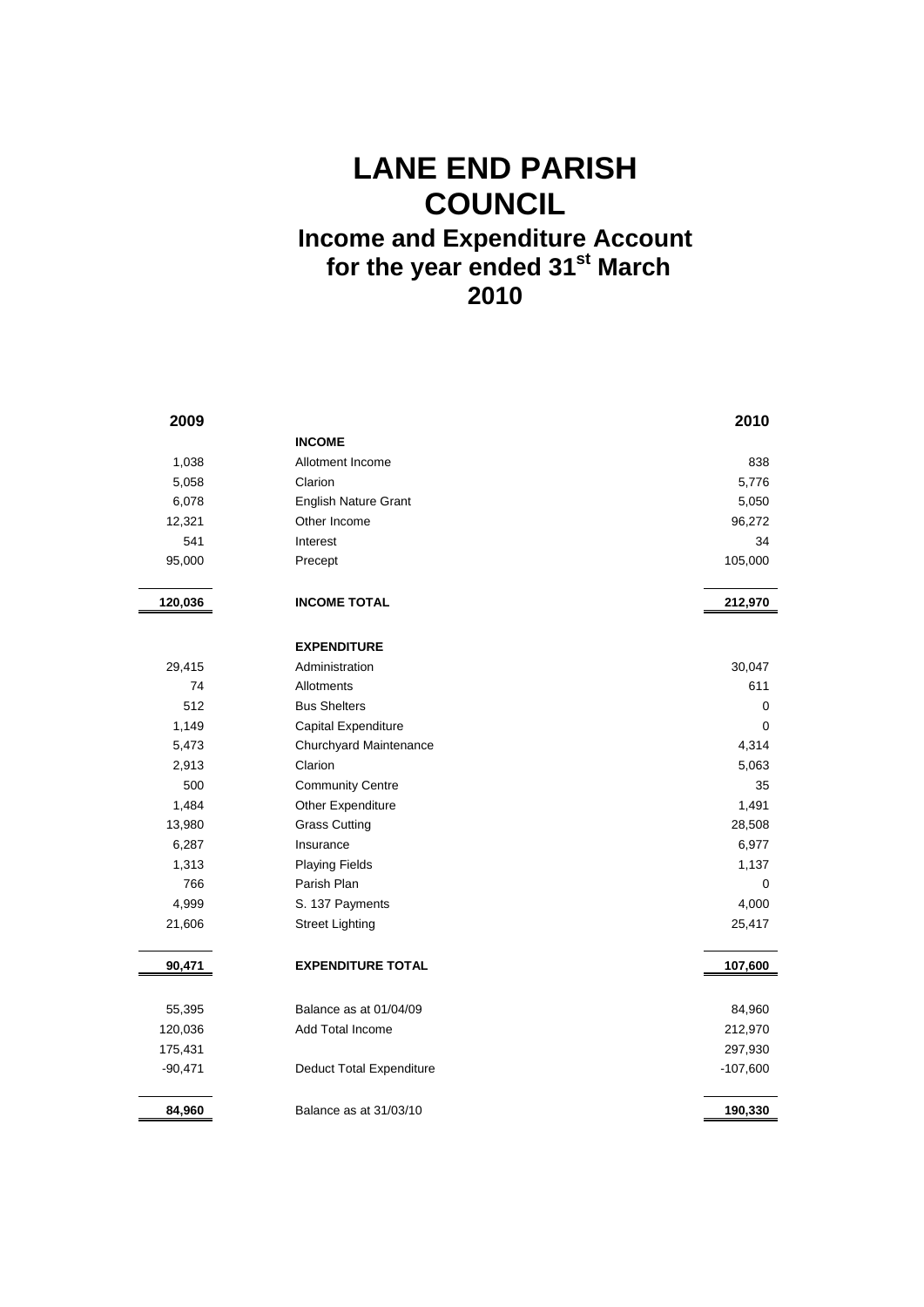### **LANE END PARISH COUNCIL Income and Expenditure Account for the year ended 31st March 2010**

| 2009      |                                 | 2010       |
|-----------|---------------------------------|------------|
|           | <b>INCOME</b>                   |            |
| 1,038     | Allotment Income                | 838        |
| 5,058     | Clarion                         | 5,776      |
| 6,078     | <b>English Nature Grant</b>     | 5,050      |
| 12,321    | Other Income                    | 96,272     |
| 541       | Interest                        | 34         |
| 95,000    | Precept                         | 105,000    |
|           |                                 |            |
| 120,036   | <b>INCOME TOTAL</b>             | 212,970    |
|           | <b>EXPENDITURE</b>              |            |
| 29,415    | Administration                  | 30,047     |
| 74        | Allotments                      | 611        |
| 512       | <b>Bus Shelters</b>             | 0          |
| 1,149     | Capital Expenditure             | $\Omega$   |
| 5,473     | Churchyard Maintenance          | 4,314      |
| 2,913     | Clarion                         | 5,063      |
| 500       | <b>Community Centre</b>         | 35         |
| 1,484     | Other Expenditure               | 1,491      |
| 13,980    | <b>Grass Cutting</b>            | 28,508     |
| 6,287     | Insurance                       | 6,977      |
| 1,313     | <b>Playing Fields</b>           | 1,137      |
| 766       | Parish Plan                     | 0          |
| 4,999     | S. 137 Payments                 | 4,000      |
| 21,606    | <b>Street Lighting</b>          | 25,417     |
| 90,471    | <b>EXPENDITURE TOTAL</b>        | 107,600    |
|           |                                 |            |
| 55,395    | Balance as at 01/04/09          | 84,960     |
| 120,036   | Add Total Income                | 212,970    |
| 175,431   |                                 | 297,930    |
| $-90,471$ | <b>Deduct Total Expenditure</b> | $-107,600$ |
| 84,960    | Balance as at 31/03/10          | 190,330    |
|           |                                 |            |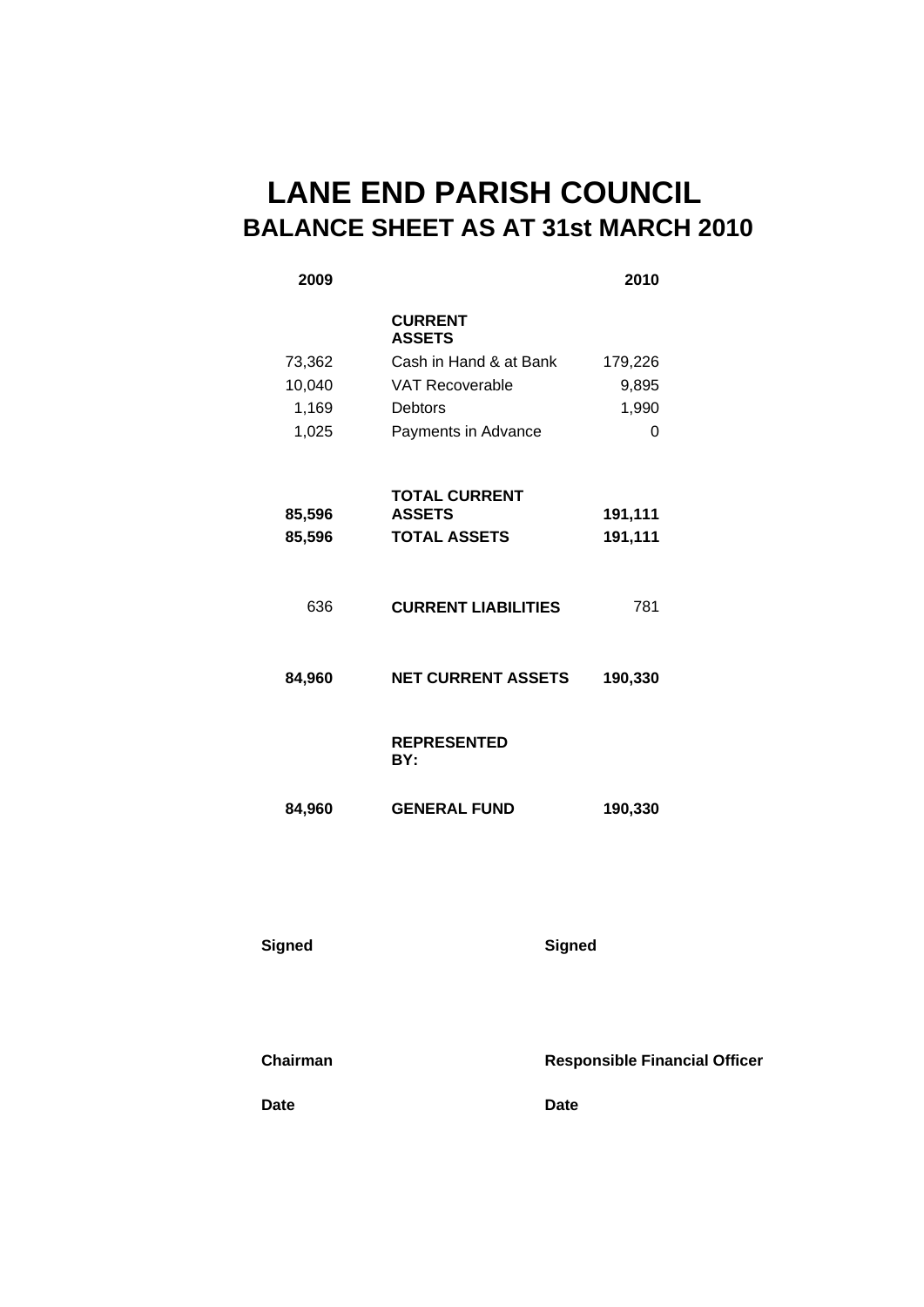### **LANE END PARISH COUNCIL BALANCE SHEET AS AT 31st MARCH 2010**

### **2009 2010 CURRENT ASSETS**  73,362 Cash in Hand & at Bank 179,226 10,040 VAT Recoverable 9,895 1,169 Debtors 1,990 1,025 Payments in Advance 0 **85,596 TOTAL CURRENT ASSETS 191,111 85,596 TOTAL ASSETS 191,111**  636 **CURRENT LIABILITIES** 781 **84,960 NET CURRENT ASSETS 190,330 REPRESENTED BY: 84,960 GENERAL FUND 190,330**

#### **Signed Signed**

**Chairman Responsible Financial Officer** 

**Date** Date Date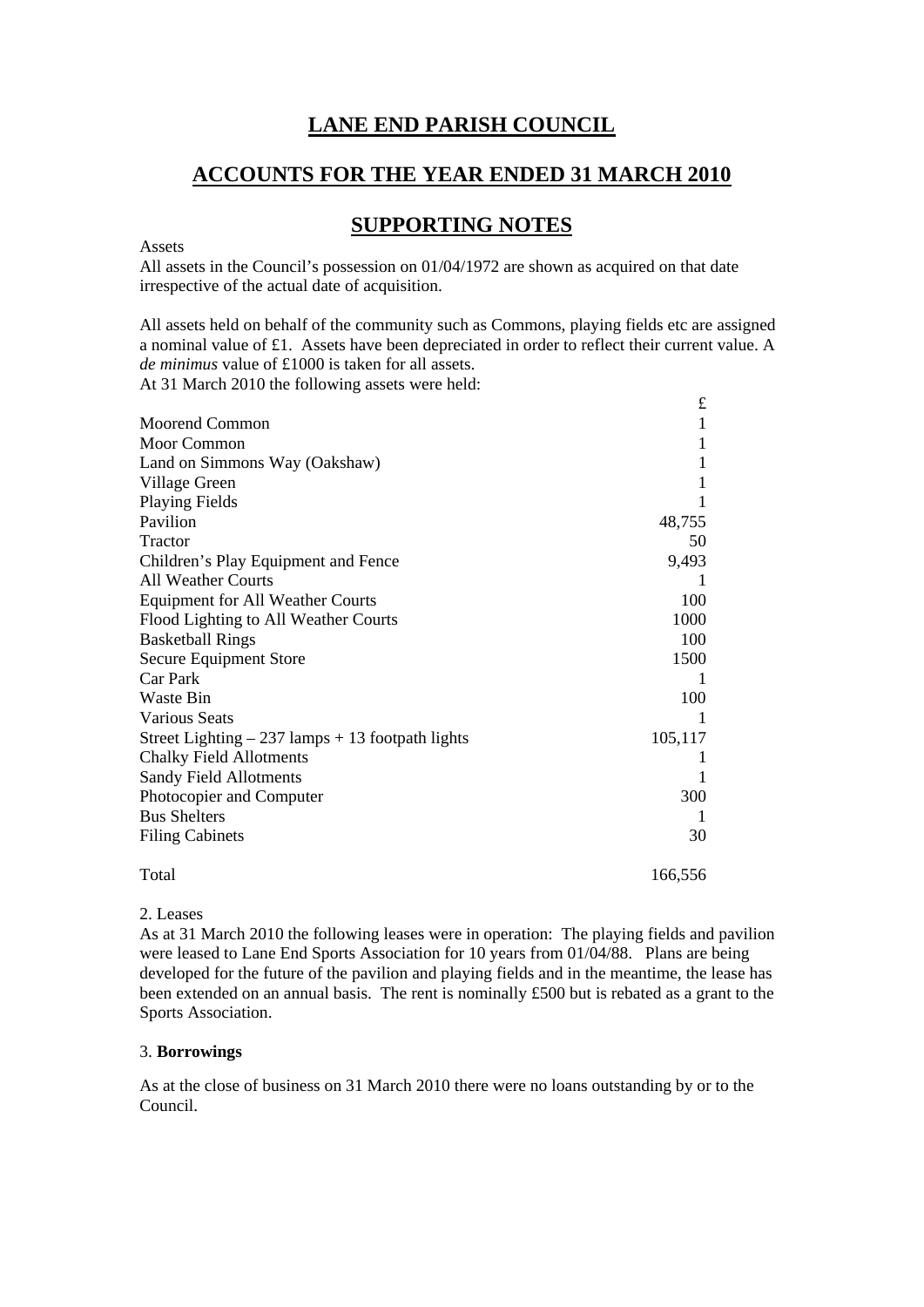#### **LANE END PARISH COUNCIL**

#### **ACCOUNTS FOR THE YEAR ENDED 31 MARCH 2010**

#### **SUPPORTING NOTES**

Assets

All assets in the Council's possession on 01/04/1972 are shown as acquired on that date irrespective of the actual date of acquisition.

All assets held on behalf of the community such as Commons, playing fields etc are assigned a nominal value of £1. Assets have been depreciated in order to reflect their current value. A *de minimus* value of £1000 is taken for all assets.

At 31 March 2010 the following assets were held:

|                                                    | $\pounds$ |
|----------------------------------------------------|-----------|
| <b>Moorend Common</b>                              | 1         |
| Moor Common                                        | 1         |
| Land on Simmons Way (Oakshaw)                      | 1         |
| Village Green                                      | 1         |
| <b>Playing Fields</b>                              |           |
| Pavilion                                           | 48,755    |
| <b>Tractor</b>                                     | 50        |
| Children's Play Equipment and Fence                | 9,493     |
| <b>All Weather Courts</b>                          |           |
| <b>Equipment for All Weather Courts</b>            | 100       |
| Flood Lighting to All Weather Courts               | 1000      |
| <b>Basketball Rings</b>                            | 100       |
| Secure Equipment Store                             | 1500      |
| Car Park                                           |           |
| Waste Bin                                          | 100       |
| <b>Various Seats</b>                               | 1         |
| Street Lighting $-237$ lamps $+13$ footpath lights | 105,117   |
| <b>Chalky Field Allotments</b>                     | T         |
| <b>Sandy Field Allotments</b>                      | 1         |
| Photocopier and Computer                           | 300       |
| <b>Bus Shelters</b>                                | 1         |
| <b>Filing Cabinets</b>                             | 30        |
| Total                                              | 166,556   |

2. Leases As at 31 March 2010 the following leases were in operation: The playing fields and pavilion were leased to Lane End Sports Association for 10 years from 01/04/88. Plans are being developed for the future of the pavilion and playing fields and in the meantime, the lease has been extended on an annual basis. The rent is nominally £500 but is rebated as a grant to the Sports Association.

#### 3. **Borrowings**

As at the close of business on 31 March 2010 there were no loans outstanding by or to the Council.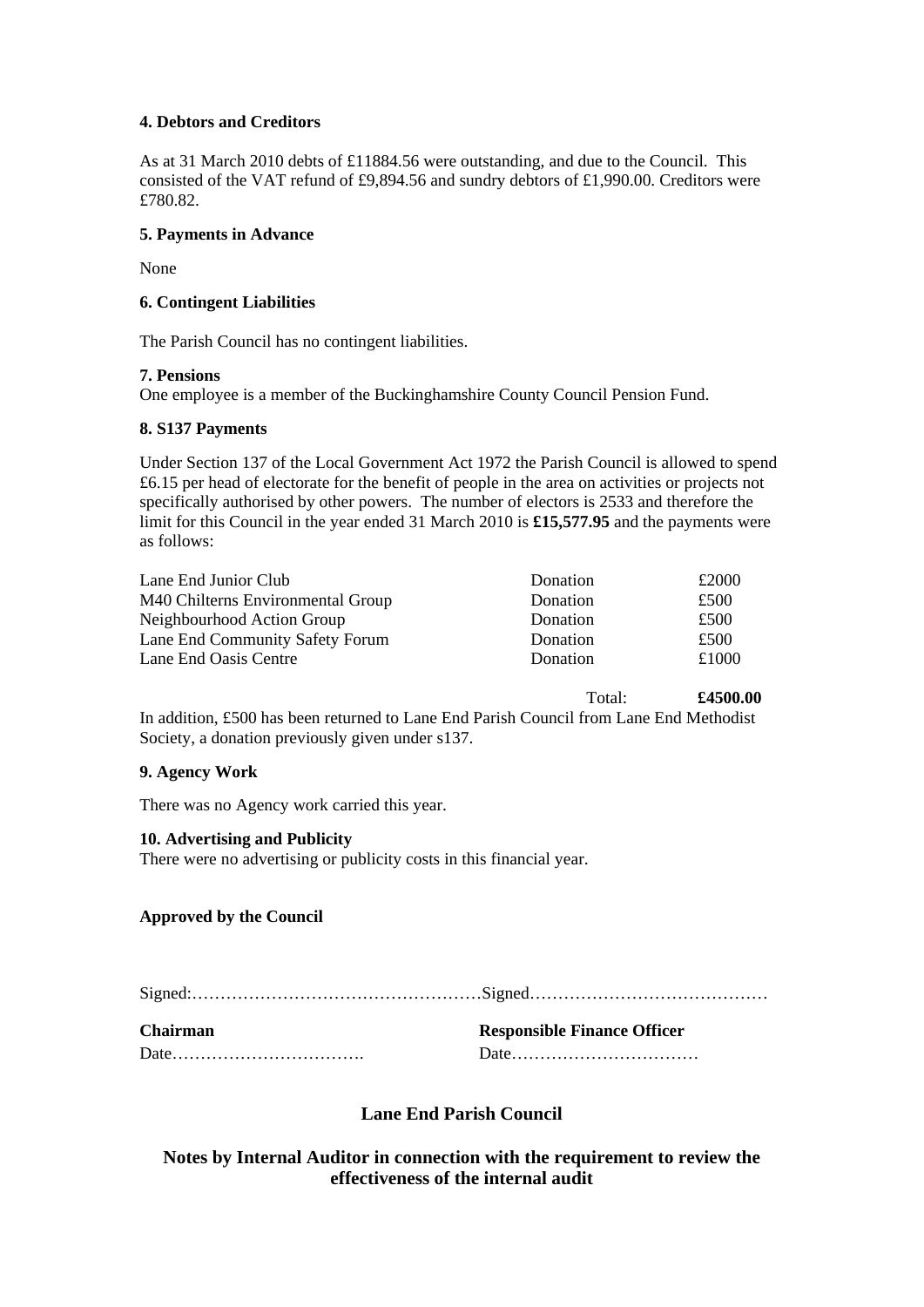#### **4. Debtors and Creditors**

As at 31 March 2010 debts of £11884.56 were outstanding, and due to the Council. This consisted of the VAT refund of £9,894.56 and sundry debtors of £1,990.00. Creditors were £780.82.

#### **5. Payments in Advance**

None

#### **6. Contingent Liabilities**

The Parish Council has no contingent liabilities.

#### **7. Pensions**

One employee is a member of the Buckinghamshire County Council Pension Fund.

#### **8. S137 Payments**

Under Section 137 of the Local Government Act 1972 the Parish Council is allowed to spend £6.15 per head of electorate for the benefit of people in the area on activities or projects not specifically authorised by other powers. The number of electors is 2533 and therefore the limit for this Council in the year ended 31 March 2010 is **£15,577.95** and the payments were as follows:

| Donation | £2000 |
|----------|-------|
| Donation | £500  |
| Donation | £500  |
| Donation | £500  |
| Donation | £1000 |
|          |       |

Total: **£4500.00** 

In addition, £500 has been returned to Lane End Parish Council from Lane End Methodist Society, a donation previously given under s137.

#### **9. Agency Work**

There was no Agency work carried this year.

#### **10. Advertising and Publicity**

There were no advertising or publicity costs in this financial year.

#### **Approved by the Council**

Signed:……………………………………………Signed……………………………………

| <b>Chairman</b> | <b>Responsible Finance Officer</b> |
|-----------------|------------------------------------|
|                 |                                    |

#### **Lane End Parish Council**

**Notes by Internal Auditor in connection with the requirement to review the effectiveness of the internal audit**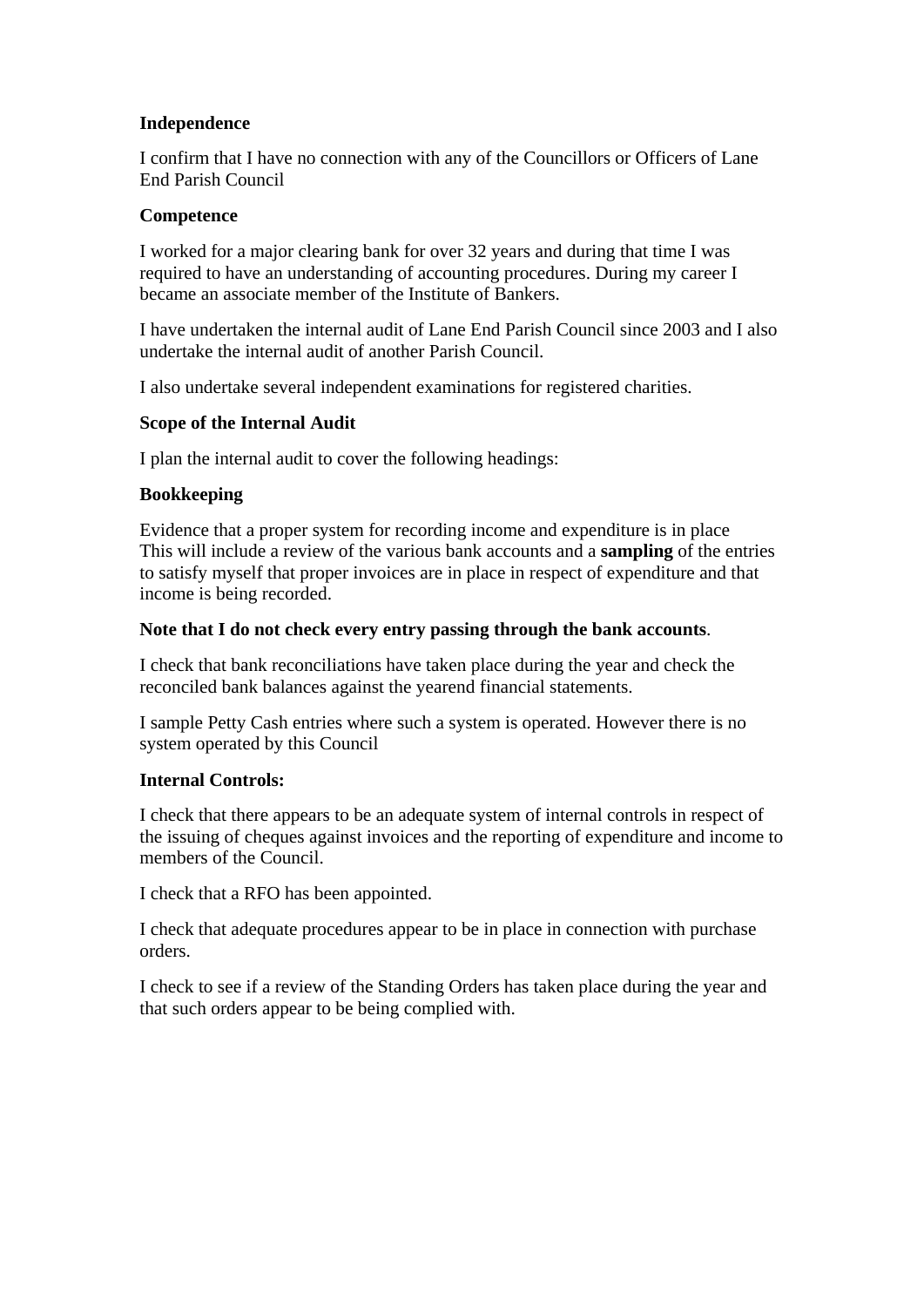#### **Independence**

I confirm that I have no connection with any of the Councillors or Officers of Lane End Parish Council

#### **Competence**

I worked for a major clearing bank for over 32 years and during that time I was required to have an understanding of accounting procedures. During my career I became an associate member of the Institute of Bankers.

I have undertaken the internal audit of Lane End Parish Council since 2003 and I also undertake the internal audit of another Parish Council.

I also undertake several independent examinations for registered charities.

#### **Scope of the Internal Audit**

I plan the internal audit to cover the following headings:

#### **Bookkeeping**

Evidence that a proper system for recording income and expenditure is in place This will include a review of the various bank accounts and a **sampling** of the entries to satisfy myself that proper invoices are in place in respect of expenditure and that income is being recorded.

#### **Note that I do not check every entry passing through the bank accounts**.

I check that bank reconciliations have taken place during the year and check the reconciled bank balances against the yearend financial statements.

I sample Petty Cash entries where such a system is operated. However there is no system operated by this Council

#### **Internal Controls:**

I check that there appears to be an adequate system of internal controls in respect of the issuing of cheques against invoices and the reporting of expenditure and income to members of the Council.

I check that a RFO has been appointed.

I check that adequate procedures appear to be in place in connection with purchase orders.

I check to see if a review of the Standing Orders has taken place during the year and that such orders appear to be being complied with.